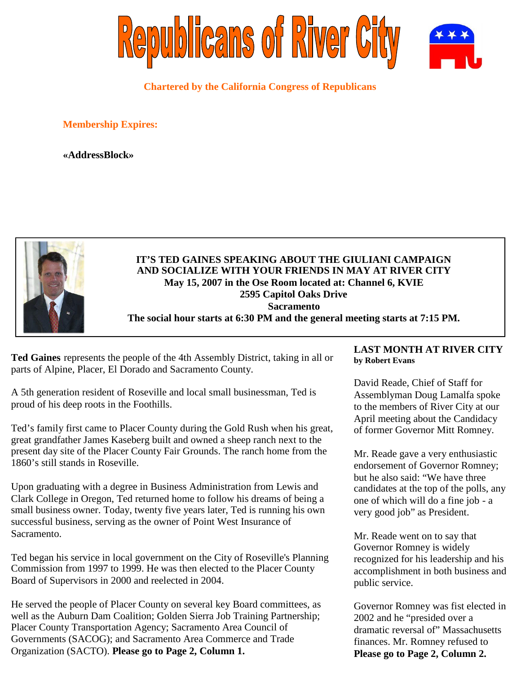

**Chartered by the California Congress of Republicans**

**Membership Expires:**

**«AddressBlock»**



**IT'S TED GAINES SPEAKING ABOUT THE GIULIANI CAMPAIGN AND SOCIALIZE WITH YOUR FRIENDS IN MAY AT RIVER CITY May 15, 2007 in the Ose Room located at: Channel 6, KVIE 2595 Capitol Oaks Drive Sacramento The social hour starts at 6:30 PM and the general meeting starts at 7:15 PM.**

**Ted Gaines** represents the people of the 4th Assembly District, taking in all or parts of Alpine, Placer, El Dorado and Sacramento County.

A 5th generation resident of Roseville and local small businessman, Ted is proud of his deep roots in the Foothills.

Ted's family first came to Placer County during the Gold Rush when his great, great grandfather James Kaseberg built and owned a sheep ranch next to the present day site of the Placer County Fair Grounds. The ranch home from the 1860's still stands in Roseville.

Upon graduating with a degree in Business Administration from Lewis and Clark College in Oregon, Ted returned home to follow his dreams of being a small business owner. Today, twenty five years later, Ted is running his own successful business, serving as the owner of Point West Insurance of Sacramento.

Ted began his service in local government on the City of Roseville's Planning Commission from 1997 to 1999. He was then elected to the Placer County Board of Supervisors in 2000 and reelected in 2004.

He served the people of Placer County on several key Board committees, as well as the Auburn Dam Coalition; Golden Sierra Job Training Partnership; Placer County Transportation Agency; Sacramento Area Council of Governments (SACOG); and Sacramento Area Commerce and Trade Organization (SACTO). **Please go to Page 2, Column 1.**

## **LAST MONTH AT RIVER CITY by Robert Evans**

David Reade, Chief of Staff for Assemblyman Doug Lamalfa spoke to the members of River City at our April meeting about the Candidacy of former Governor Mitt Romney.

Mr. Reade gave a very enthusiastic endorsement of Governor Romney; but he also said: "We have three candidates at the top of the polls, any one of which will do a fine job - a very good job" as President.

Mr. Reade went on to say that Governor Romney is widely recognized for his leadership and his accomplishment in both business and public service.

Governor Romney was fist elected in 2002 and he "presided over a dramatic reversal of" Massachusetts finances. Mr. Romney refused to **Please go to Page 2, Column 2.**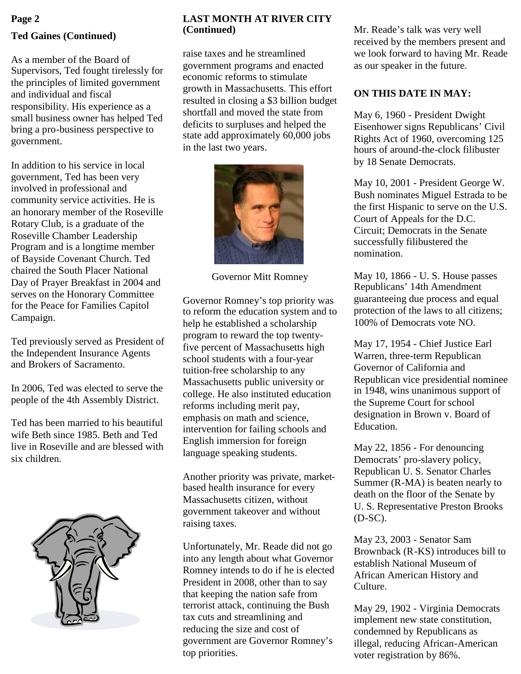# **Ted Gaines (Continued) Page 2**

As a member of the Board of Supervisors, Ted fought tirelessly for the principles of limited government and individual and fiscal responsibility. His experience as a small business owner has helped Ted bring a pro-business perspective to government.

In addition to his service in local government, Ted has been very involved in professional and community service activities. He is an honorary member of the Roseville Rotary Club, is a graduate of the Roseville Chamber Leadership Program and is a longtime member of Bayside Covenant Church. Ted chaired the South Placer National Day of Prayer Breakfast in 2004 and serves on the Honorary Committee for the Peace for Families Capitol Campaign.

Ted previously served as President of the Independent Insurance Agents and Brokers of Sacramento.

In 2006, Ted was elected to serve the people of the 4th Assembly District.

Ted has been married to his beautiful wife Beth since 1985. Beth and Ted live in Roseville and are blessed with six children.



## **LAST MONTH AT RIVER CITY (Continued)**

raise taxes and he streamlined government programs and enacted economic reforms to stimulate growth in Massachusetts. This effort resulted in closing a \$3 billion budget shortfall and moved the state from deficits to surpluses and helped the state add approximately 60,000 jobs in the last two years.



Governor Mitt Romney

Governor Romney's top priority was to reform the education system and to help he established a scholarship program to reward the top twentyfive percent of Massachusetts high school students with a four-year tuition-free scholarship to any Massachusetts public university or college. He also instituted education reforms including merit pay, emphasis on math and science, intervention for failing schools and English immersion for foreign language speaking students.

Another priority was private, marketbased health insurance for every Massachusetts citizen, without government takeover and without raising taxes.

Unfortunately, Mr. Reade did not go into any length about what Governor Romney intends to do if he is elected President in 2008, other than to say that keeping the nation safe from terrorist attack, continuing the Bush tax cuts and streamlining and reducing the size and cost of government are Governor Romney's top priorities.

Mr. Reade's talk was very well received by the members present and we look forward to having Mr. Reade as our speaker in the future.

## **ON THIS DATE IN MAY:**

May 6, 1960 - President Dwight Eisenhower signs Republicans' Civil Rights Act of 1960, overcoming 125 hours of around-the-clock filibuster by 18 Senate Democrats.

May 10, 2001 - President George W. Bush nominates Miguel Estrada to be the first Hispanic to serve on the U.S. Court of Appeals for the D.C. Circuit; Democrats in the Senate successfully filibustered the nomination.

May 10, 1866 - U. S. House passes Republicans' 14th Amendment guaranteeing due process and equal protection of the laws to all citizens; 100% of Democrats vote NO.

May 17, 1954 - Chief Justice Earl Warren, three-term Republican Governor of California and Republican vice presidential nominee in 1948, wins unanimous support of the Supreme Court for school designation in Brown v. Board of Education.

May 22, 1856 - For denouncing Democrats' pro-slavery policy, Republican U. S. Senator Charles Summer (R-MA) is beaten nearly to death on the floor of the Senate by U. S. Representative Preston Brooks (D-SC).

May 23, 2003 - Senator Sam Brownback (R-KS) introduces bill to establish National Museum of African American History and Culture.

May 29, 1902 - Virginia Democrats implement new state constitution, condemned by Republicans as illegal, reducing African-American voter registration by 86%.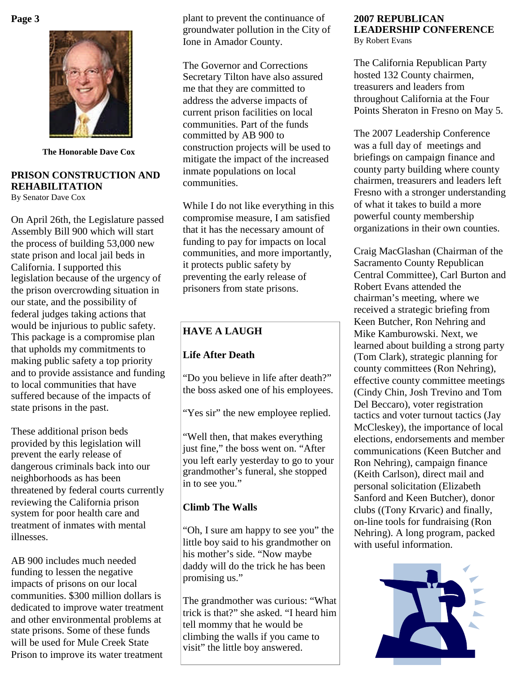## **Page 3**



**The Honorable Dave Cox**

#### **PRISON CONSTRUCTION AND REHABILITATION** By Senator Dave Cox

On April 26th, the Legislature passed Assembly Bill 900 which will start the process of building 53,000 new state prison and local jail beds in California. I supported this legislation because of the urgency of the prison overcrowding situation in our state, and the possibility of federal judges taking actions that would be injurious to public safety. This package is a compromise plan that upholds my commitments to making public safety a top priority and to provide assistance and funding to local communities that have suffered because of the impacts of state prisons in the past.

These additional prison beds provided by this legislation will prevent the early release of dangerous criminals back into our neighborhoods as has been threatened by federal courts currently reviewing the California prison system for poor health care and treatment of inmates with mental illnesses.

AB 900 includes much needed funding to lessen the negative impacts of prisons on our local communities. \$300 million dollars is dedicated to improve water treatment and other environmental problems at state prisons. Some of these funds will be used for Mule Creek State Prison to improve its water treatment

plant to prevent the continuance of groundwater pollution in the City of Ione in Amador County.

The Governor and Corrections Secretary Tilton have also assured me that they are committed to address the adverse impacts of current prison facilities on local communities. Part of the funds committed by AB 900 to construction projects will be used to mitigate the impact of the increased inmate populations on local communities.

While I do not like everything in this compromise measure, I am satisfied that it has the necessary amount of funding to pay for impacts on local communities, and more importantly, it protects public safety by preventing the early release of prisoners from state prisons.

# **HAVE A LAUGH**

# **Life After Death**

"Do you believe in life after death?" the boss asked one of his employees.

"Yes sir" the new employee replied.

"Well then, that makes everything just fine," the boss went on. "After you left early yesterday to go to your grandmother's funeral, she stopped in to see you."

## **Climb The Walls**

"Oh, I sure am happy to see you" the little boy said to his grandmother on his mother's side. "Now maybe daddy will do the trick he has been promising us."

The grandmother was curious: "What trick is that?" she asked. "I heard him tell mommy that he would be climbing the walls if you came to visit" the little boy answered.

# **2007 REPUBLICAN LEADERSHIP CONFERENCE**

By Robert Evans

The California Republican Party hosted 132 County chairmen, treasurers and leaders from throughout California at the Four Points Sheraton in Fresno on May 5.

The 2007 Leadership Conference was a full day of meetings and briefings on campaign finance and county party building where county chairmen, treasurers and leaders left Fresno with a stronger understanding of what it takes to build a more powerful county membership organizations in their own counties.

Craig MacGlashan (Chairman of the Sacramento County Republican Central Committee), Carl Burton and Robert Evans attended the chairman's meeting, where we received a strategic briefing from Keen Butcher, Ron Nehring and Mike Kamburowski. Next, we learned about building a strong party (Tom Clark), strategic planning for county committees (Ron Nehring), effective county committee meetings (Cindy Chin, Josh Trevino and Tom Del Beccaro), voter registration tactics and voter turnout tactics (Jay McCleskey), the importance of local elections, endorsements and member communications (Keen Butcher and Ron Nehring), campaign finance (Keith Carlson), direct mail and personal solicitation (Elizabeth Sanford and Keen Butcher), donor clubs ((Tony Krvaric) and finally, on-line tools for fundraising (Ron Nehring). A long program, packed with useful information.

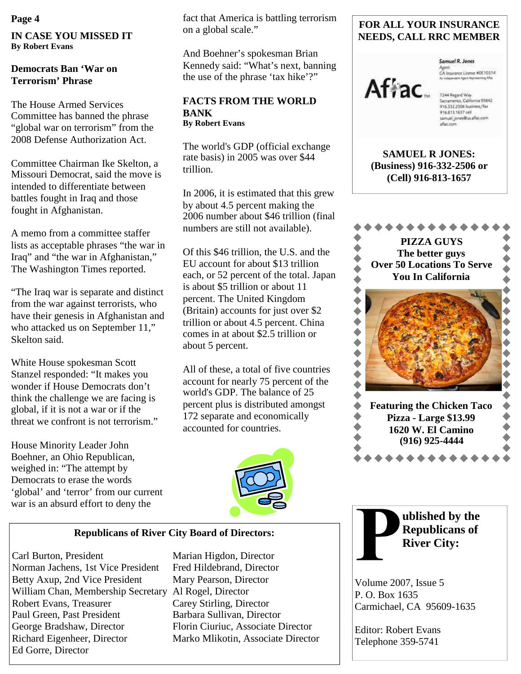**IN CASE YOU MISSED IT By Robert Evans**

## **Democrats Ban 'War on Terrorism' Phrase**

The House Armed Services Committee has banned the phrase "global war on terrorism" from the 2008 Defense Authorization Act.

Committee Chairman Ike Skelton, a Missouri Democrat, said the move is intended to differentiate between battles fought in Iraq and those fought in Afghanistan.

A memo from a committee staffer lists as acceptable phrases "the war in Iraq" and "the war in Afghanistan," The Washington Times reported.

"The Iraq war is separate and distinct from the war against terrorists, who have their genesis in Afghanistan and who attacked us on September 11," Skelton said.

White House spokesman Scott Stanzel responded: "It makes you wonder if House Democrats don't think the challenge we are facing is global, if it is not a war or if the threat we confront is not terrorism."

House Minority Leader John Boehner, an Ohio Republican, weighed in: "The attempt by Democrats to erase the words 'global' and 'terror' from our current war is an absurd effort to deny the

**Page 4** fact that America is battling terrorism on a global scale."

> And Boehner's spokesman Brian Kennedy said: "What's next, banning the use of the phrase 'tax hike'?"

#### **FACTS FROM THE WORLD BANK By Robert Evans**

The world's GDP (official exchange rate basis) in 2005 was over \$44 trillion.

In 2006, it is estimated that this grew by about 4.5 percent making the 2006 number about \$46 trillion (final numbers are still not available).

Of this \$46 trillion, the U.S. and the EU account for about \$13 trillion each, or 52 percent of the total. Japan is about \$5 trillion or about 11 percent. The United Kingdom (Britain) accounts for just over \$2 trillion or about 4.5 percent. China comes in at about \$2.5 trillion or about 5 percent.

All of these, a total of five countries account for nearly 75 percent of the world's GDP. The balance of 25 percent plus is distributed amongst 172 separate and economically accounted for countries.



#### **Republicans of River City Board of Directors:**

Carl Burton, President Marian Higdon, Director Norman Jachens, 1st Vice President Fred Hildebrand, Director Betty Axup, 2nd Vice President Mary Pearson, Director William Chan, Membership Secretary Al Rogel, Director Robert Evans, Treasurer Carey Stirling, Director Paul Green, Past President Barbara Sullivan, Director George Bradshaw, Director Florin Ciuriuc, Associate Director Richard Eigenheer, Director Marko Mlikotin, Associate Director Ed Gorre, Director

## **FOR ALL YOUR INSURANCE NEEDS, CALL RRC MEMBER**



Samuel R. Jones Agent<br>CA Insurance License #0E10314<br>As Integerates Agent Improving Mac

samuel\_jones@us.aflac.com aflac.com

**SAMUEL R JONES: (Business) 916-332-2506 or (Cell) 916-813-1657**



**ublished by the Republicans of River City:**

Volume 2007, Issue 5 P. O. Box 1635 Carmichael, CA 95609-1635

Editor: Robert Evans Telephone 359-5741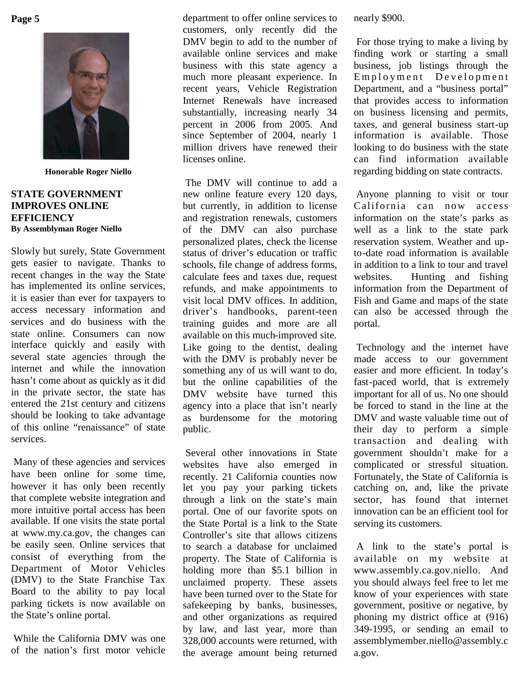**Page 5**



**Honorable Roger Niello**

## **STATE GOVERNMENT IMPROVES ONLINE EFFICIENCY By Assemblyman Roger Niello**

Slowly but surely, State Government gets easier to navigate. Thanks to recent changes in the way the State has implemented its online services, it is easier than ever for taxpayers to access necessary information and services and do business with the state online. Consumers can now interface quickly and easily with several state agencies through the internet and while the innovation hasn't come about as quickly as it did in the private sector, the state has entered the 21st century and citizens should be looking to take advantage of this online "renaissance" of state services.

Many of these agencies and services have been online for some time, however it has only been recently that complete website integration and more intuitive portal access has been available. If one visits the state portal at www.my.ca.gov, the changes can be easily seen. Online services that consist of everything from the Department of Motor Vehicles (DMV) to the State Franchise Tax Board to the ability to pay local parking tickets is now available on the State's online portal.

While the California DMV was one of the nation's first motor vehicle

department to offer online services to customers, only recently did the DMV begin to add to the number of available online services and make business with this state agency a much more pleasant experience. In recent years, Vehicle Registration Internet Renewals have increased substantially, increasing nearly 34 percent in 2006 from 2005. And since September of 2004, nearly 1 million drivers have renewed their licenses online.

The DMV will continue to add a new online feature every 120 days, but currently, in addition to license and registration renewals, customers of the DMV can also purchase personalized plates, check the license status of driver's education or traffic schools, file change of address forms, calculate fees and taxes due, request refunds, and make appointments to visit local DMV offices. In addition, driver's handbooks, parent-teen training guides and more are all available on this much-improved site. Like going to the dentist, dealing with the DMV is probably never be something any of us will want to do, but the online capabilities of the DMV website have turned this agency into a place that isn't nearly as burdensome for the motoring public.

Several other innovations in State websites have also emerged in recently. 21 California counties now let you pay your parking tickets through a link on the state's main portal. One of our favorite spots on the State Portal is a link to the State Controller's site that allows citizens to search a database for unclaimed property. The State of California is holding more than \$5.1 billion in unclaimed property. These assets have been turned over to the State for safekeeping by banks, businesses, and other organizations as required by law, and last year, more than 328,000 accounts were returned, with the average amount being returned nearly \$900.

For those trying to make a living by finding work or starting a small business, job listings through the Employment Development Department, and a "business portal" that provides access to information on business licensing and permits, taxes, and general business start-up information is available. Those looking to do business with the state can find information available regarding bidding on state contracts.

Anyone planning to visit or tour California can now access information on the state's parks as well as a link to the state park reservation system. Weather and upto-date road information is available in addition to a link to tour and travel websites. Hunting and fishing information from the Department of Fish and Game and maps of the state can also be accessed through the portal.

Technology and the internet have made access to our government easier and more efficient. In today's fast-paced world, that is extremely important for all of us. No one should be forced to stand in the line at the DMV and waste valuable time out of their day to perform a simple transaction and dealing with government shouldn't make for a complicated or stressful situation. Fortunately, the State of California is catching on, and, like the private sector, has found that internet innovation can be an efficient tool for serving its customers.

A link to the state's portal is available on my website at www.assembly.ca.gov.niello. And you should always feel free to let me know of your experiences with state government, positive or negative, by phoning my district office at (916) 349-1995, or sending an email to assemblymember.niello@assembly.c a.gov.